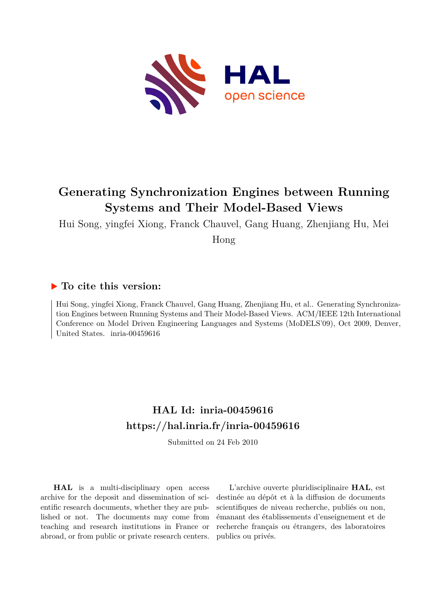

# **Generating Synchronization Engines between Running Systems and Their Model-Based Views**

Hui Song, yingfei Xiong, Franck Chauvel, Gang Huang, Zhenjiang Hu, Mei

Hong

# **To cite this version:**

Hui Song, yingfei Xiong, Franck Chauvel, Gang Huang, Zhenjiang Hu, et al.. Generating Synchronization Engines between Running Systems and Their Model-Based Views. ACM/IEEE 12th International Conference on Model Driven Engineering Languages and Systems (MoDELS'09), Oct 2009, Denver, United States. inria-00459616

# **HAL Id: inria-00459616 <https://hal.inria.fr/inria-00459616>**

Submitted on 24 Feb 2010

**HAL** is a multi-disciplinary open access archive for the deposit and dissemination of scientific research documents, whether they are published or not. The documents may come from teaching and research institutions in France or abroad, or from public or private research centers.

L'archive ouverte pluridisciplinaire **HAL**, est destinée au dépôt et à la diffusion de documents scientifiques de niveau recherche, publiés ou non, émanant des établissements d'enseignement et de recherche français ou étrangers, des laboratoires publics ou privés.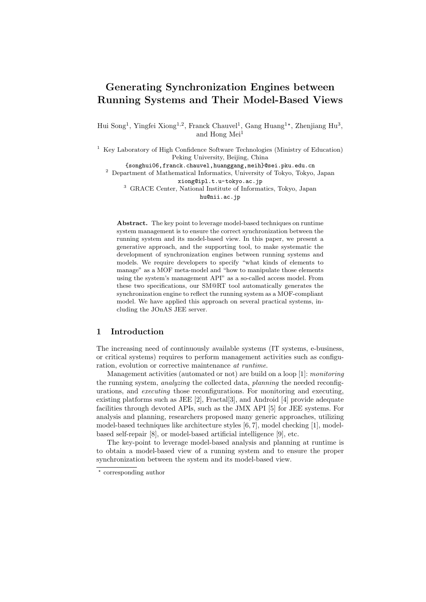# Generating Synchronization Engines between Running Systems and Their Model-Based Views

Hui Song<sup>1</sup>, Yingfei Xiong<sup>1,2</sup>, Franck Chauvel<sup>1</sup>, Gang Huang<sup>1\*</sup>, Zhenjiang Hu<sup>3</sup>, and Hong Mei<sup>1</sup>

<sup>1</sup> Key Laboratory of High Confidence Software Technologies (Ministry of Education) Peking University, Beijing, China

{songhui06,franck.chauvel,huanggang,meih}@sei.pku.edu.cn <sup>2</sup> Department of Mathematical Informatics, University of Tokyo, Tokyo, Japan xiong@ipl.t.u-tokyo.ac.jp <sup>3</sup> GRACE Center, National Institute of Informatics, Tokyo, Japan hu@nii.ac.jp

Abstract. The key point to leverage model-based techniques on runtime system management is to ensure the correct synchronization between the running system and its model-based view. In this paper, we present a generative approach, and the supporting tool, to make systematic the development of synchronization engines between running systems and models. We require developers to specify "what kinds of elements to manage" as a MOF meta-model and "how to manipulate those elements using the system's management API" as a so-called access model. From these two specifications, our SM@RT tool automatically generates the synchronization engine to reflect the running system as a MOF-compliant model. We have applied this approach on several practical systems, including the JOnAS JEE server.

# 1 Introduction

The increasing need of continuously available systems (IT systems, e-business, or critical systems) requires to perform management activities such as configuration, evolution or corrective maintenance at runtime.

Management activities (automated or not) are build on a loop [1]: monitoring the running system, *analyzing* the collected data, *planning* the needed reconfigurations, and executing those reconfigurations. For monitoring and executing, existing platforms such as JEE [2], Fractal[3], and Android [4] provide adequate facilities through devoted APIs, such as the JMX API [5] for JEE systems. For analysis and planning, researchers proposed many generic approaches, utilizing model-based techniques like architecture styles [6, 7], model checking [1], modelbased self-repair [8], or model-based artificial intelligence [9], etc.

The key-point to leverage model-based analysis and planning at runtime is to obtain a model-based view of a running system and to ensure the proper synchronization between the system and its model-based view.

<sup>?</sup> corresponding author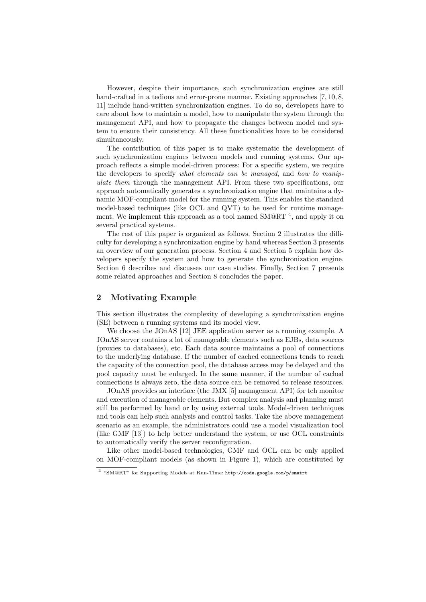However, despite their importance, such synchronization engines are still hand-crafted in a tedious and error-prone manner. Existing approaches [7, 10, 8, 11] include hand-written synchronization engines. To do so, developers have to care about how to maintain a model, how to manipulate the system through the management API, and how to propagate the changes between model and system to ensure their consistency. All these functionalities have to be considered simultaneously.

The contribution of this paper is to make systematic the development of such synchronization engines between models and running systems. Our approach reflects a simple model-driven process: For a specific system, we require the developers to specify what elements can be managed, and how to manipulate them through the management API. From these two specifications, our approach automatically generates a synchronization engine that maintains a dynamic MOF-compliant model for the running system. This enables the standard model-based techniques (like OCL and QVT) to be used for runtime management. We implement this approach as a tool named  $\text{SM@RT}$ <sup>4</sup>, and apply it on several practical systems.

The rest of this paper is organized as follows. Section 2 illustrates the difficulty for developing a synchronization engine by hand whereas Section 3 presents an overview of our generation process. Section 4 and Section 5 explain how developers specify the system and how to generate the synchronization engine. Section 6 describes and discusses our case studies. Finally, Section 7 presents some related approaches and Section 8 concludes the paper.

# 2 Motivating Example

This section illustrates the complexity of developing a synchronization engine (SE) between a running systems and its model view.

We choose the JOnAS [12] JEE application server as a running example. A JOnAS server contains a lot of manageable elements such as EJBs, data sources (proxies to databases), etc. Each data source maintains a pool of connections to the underlying database. If the number of cached connections tends to reach the capacity of the connection pool, the database access may be delayed and the pool capacity must be enlarged. In the same manner, if the number of cached connections is always zero, the data source can be removed to release resources.

JOnAS provides an interface (the JMX [5] management API) for teh monitor and execution of manageable elements. But complex analysis and planning must still be performed by hand or by using external tools. Model-driven techniques and tools can help such analysis and control tasks. Take the above management scenario as an example, the administrators could use a model visualization tool (like GMF [13]) to help better understand the system, or use OCL constraints to automatically verify the server reconfiguration.

Like other model-based technologies, GMF and OCL can be only applied on MOF-compliant models (as shown in Figure 1), which are constituted by

<sup>4</sup> "SM@RT" for Supporting Models at Run-Time: http://code.google.com/p/smatrt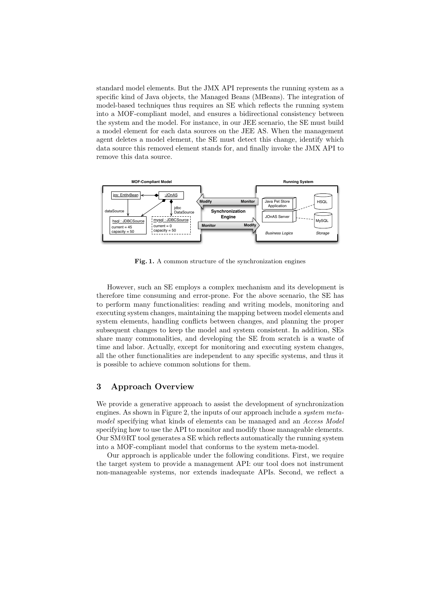standard model elements. But the JMX API represents the running system as a specific kind of Java objects, the Managed Beans (MBeans). The integration of model-based techniques thus requires an SE which reflects the running system into a MOF-compliant model, and ensures a bidirectional consistency between the system and the model. For instance, in our JEE scenario, the SE must build a model element for each data sources on the JEE AS. When the management agent deletes a model element, the SE must detect this change, identify which data source this removed element stands for, and finally invoke the JMX API to remove this data source.



Fig. 1. A common structure of the synchronization engines

However, such an SE employs a complex mechanism and its development is therefore time consuming and error-prone. For the above scenario, the SE has to perform many functionalities: reading and writing models, monitoring and executing system changes, maintaining the mapping between model elements and system elements, handling conflicts between changes, and planning the proper subsequent changes to keep the model and system consistent. In addition, SEs share many commonalities, and developing the SE from scratch is a waste of time and labor. Actually, except for monitoring and executing system changes, all the other functionalities are independent to any specific systems, and thus it is possible to achieve common solutions for them.

# 3 Approach Overview

We provide a generative approach to assist the development of synchronization engines. As shown in Figure 2, the inputs of our approach include a *system meta*model specifying what kinds of elements can be managed and an Access Model specifying how to use the API to monitor and modify those manageable elements. Our SM@RT tool generates a SE which reflects automatically the running system into a MOF-compliant model that conforms to the system meta-model.

Our approach is applicable under the following conditions. First, we require the target system to provide a management API: our tool does not instrument non-manageable systems, nor extends inadequate APIs. Second, we reflect a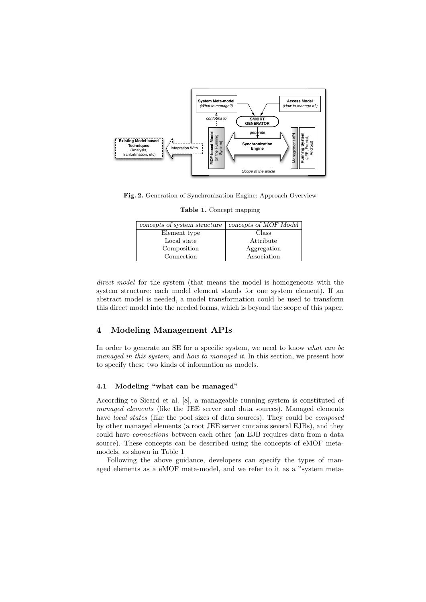

Fig. 2. Generation of Synchronization Engine: Approach Overview

|  |  |  | Table 1. Concept mapping |
|--|--|--|--------------------------|
|--|--|--|--------------------------|

| concepts of system structure | concepts of MOF Model |  |  |
|------------------------------|-----------------------|--|--|
| Element type                 | Class                 |  |  |
| Local state                  | Attribute             |  |  |
| Composition                  | Aggregation           |  |  |
| Connection                   | Association           |  |  |

direct model for the system (that means the model is homogeneous with the system structure: each model element stands for one system element). If an abstract model is needed, a model transformation could be used to transform this direct model into the needed forms, which is beyond the scope of this paper.

# 4 Modeling Management APIs

In order to generate an SE for a specific system, we need to know what can be managed in this system, and how to managed it. In this section, we present how to specify these two kinds of information as models.

## 4.1 Modeling "what can be managed"

According to Sicard et al. [8], a manageable running system is constituted of managed elements (like the JEE server and data sources). Managed elements have *local states* (like the pool sizes of data sources). They could be *composed* by other managed elements (a root JEE server contains several EJBs), and they could have connections between each other (an EJB requires data from a data source). These concepts can be described using the concepts of eMOF metamodels, as shown in Table 1

Following the above guidance, developers can specify the types of managed elements as a eMOF meta-model, and we refer to it as a "system meta-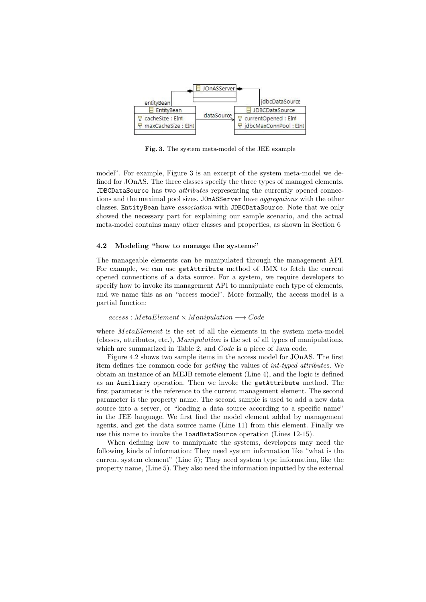

Fig. 3. The system meta-model of the JEE example

model". For example, Figure 3 is an excerpt of the system meta-model we defined for JOnAS. The three classes specify the three types of managed elements. JDBCDataSource has two attributes representing the currently opened connections and the maximal pool sizes. JOnASServer have aggregations with the other classes. EntityBean have association with JDBCDataSource. Note that we only showed the necessary part for explaining our sample scenario, and the actual meta-model contains many other classes and properties, as shown in Section 6

#### 4.2 Modeling "how to manage the systems"

The manageable elements can be manipulated through the management API. For example, we can use getAttribute method of JMX to fetch the current opened connections of a data source. For a system, we require developers to specify how to invoke its management API to manipulate each type of elements, and we name this as an "access model". More formally, the access model is a partial function:

#### $access : MetaElement \times Manipulation \longrightarrow Code$

where MetaElement is the set of all the elements in the system meta-model (classes, attributes, etc.), *Manipulation* is the set of all types of manipulations, which are summarized in Table 2, and *Code* is a piece of Java code.

Figure 4.2 shows two sample items in the access model for JOnAS. The first item defines the common code for getting the values of int-typed attributes. We obtain an instance of an MEJB remote element (Line 4), and the logic is defined as an Auxiliary operation. Then we invoke the getAttribute method. The first parameter is the reference to the current management element. The second parameter is the property name. The second sample is used to add a new data source into a server, or "loading a data source according to a specific name" in the JEE language. We first find the model element added by management agents, and get the data source name (Line 11) from this element. Finally we use this name to invoke the loadDataSource operation (Lines 12-15).

When defining how to manipulate the systems, developers may need the following kinds of information: They need system information like "what is the current system element" (Line 5); They need system type information, like the property name, (Line 5). They also need the information inputted by the external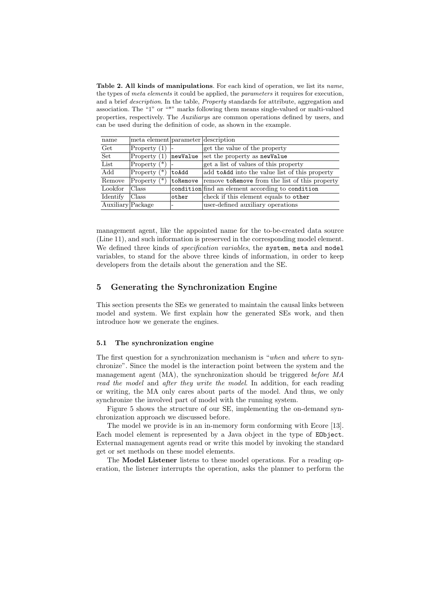Table 2. All kinds of manipulations. For each kind of operation, we list its name, the types of meta elements it could be applied, the parameters it requires for execution, and a brief description. In the table, Property standards for attribute, aggregation and association. The "1" or "\*" marks following them means single-valued or malti-valued properties, respectively. The Auxiliarys are common operations defined by users, and can be used during the definition of code, as shown in the example.

| name              | meta element parameter description |          |                                                  |
|-------------------|------------------------------------|----------|--------------------------------------------------|
| Get               | Property $(1)$                     |          | get the value of the property                    |
| Set               | Property (1)                       | newValue | set the property as newValue                     |
| List              | Property                           | -        | get a list of values of this property            |
| Add               | `* ∖<br>Property                   | toAdd    | add to Add into the value list of this property  |
| Remove            | Property (*)                       | toRemove | remove to Remove from the list of this property  |
| Lookfor           | Class                              |          | condition find an element according to condition |
| Identify          | Class                              | other    | check if this element equals to other            |
| Auxiliary Package |                                    | -        | user-defined auxiliary operations                |

management agent, like the appointed name for the to-be-created data source (Line 11), and such information is preserved in the corresponding model element. We defined three kinds of *specification variables*, the system, meta and model variables, to stand for the above three kinds of information, in order to keep developers from the details about the generation and the SE.

# 5 Generating the Synchronization Engine

This section presents the SEs we generated to maintain the causal links between model and system. We first explain how the generated SEs work, and then introduce how we generate the engines.

#### 5.1 The synchronization engine

The first question for a synchronization mechanism is "when and where to synchronize". Since the model is the interaction point between the system and the management agent (MA), the synchronization should be triggered before MA read the model and after they write the model. In addition, for each reading or writing, the MA only cares about parts of the model. And thus, we only synchronize the involved part of model with the running system.

Figure 5 shows the structure of our SE, implementing the on-demand synchronization approach we discussed before.

The model we provide is in an in-memory form conforming with Ecore [13]. Each model element is represented by a Java object in the type of EObject. External management agents read or write this model by invoking the standard get or set methods on these model elements.

The Model Listener listens to these model operations. For a reading operation, the listener interrupts the operation, asks the planner to perform the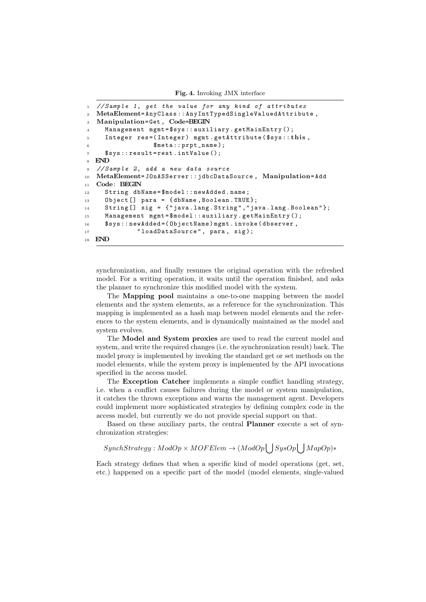Fig. 4. Invoking JMX interface

```
1 // Sample 1, get the value for any kind of attributes
2 MetaElement= AnyClass :: AnyIntTypedSingleValuedAttribute ,
   3 Manipulation= Get , Code=BEGIN
4 Management mgmt = $sys :: auxiliary . getMainEntry ();
5 Integer res=(Integer) mgmt.getAttribute ($sys::this,
6 $meta::prpt_name);
7 $sys :: result = rest . intValue ();
8 END
9 // Sample 2, add a new data source
10 MetaElement= JOnASServer :: jdbcDataSource , Manipulation= Add
11 Code: BEGIN
12 String dbName=$model::newAdded.name;
13 Object [] para = {dbName, Boolean. TRUE};
14 String [] sig = { " java . lang . String " ," java . lang . Boolean " };
15 Management mgmt=$model::auxiliary.getMainEntry();
16 $sys :: newAdded =( ObjectName ) mgmt . invoke ( dbserver ,
17 "loadDataSource", para, sig);
18 END
```
synchronization, and finally resumes the original operation with the refreshed model. For a writing operation, it waits until the operation finished, and asks the planner to synchronize this modified model with the system.

The Mapping pool maintains a one-to-one mapping between the model elements and the system elements, as a reference for the synchronization. This mapping is implemented as a hash map between model elements and the references to the system elements, and is dynamically maintained as the model and system evolves.

The Model and System proxies are used to read the current model and system, and write the required changes (i.e. the synchronization result) back. The model proxy is implemented by invoking the standard get or set methods on the model elements, while the system proxy is implemented by the API invocations specified in the access model.

The Exception Catcher implements a simple conflict handling strategy, i.e. when a conflict causes failures during the model or system manipulation, it catches the thrown exceptions and warns the management agent. Developers could implement more sophisticated strategies by defining complex code in the access model, but currently we do not provide special support on that.

Based on these auxiliary parts, the central Planner execute a set of synchronization strategies:

 $SynchStrategy: ModOp \times MOFElement \rightarrow (ModOp \mid SysOp \mid \mid MapOp) *$ 

Each strategy defines that when a specific kind of model operations (get, set, etc.) happened on a specific part of the model (model elements, single-valued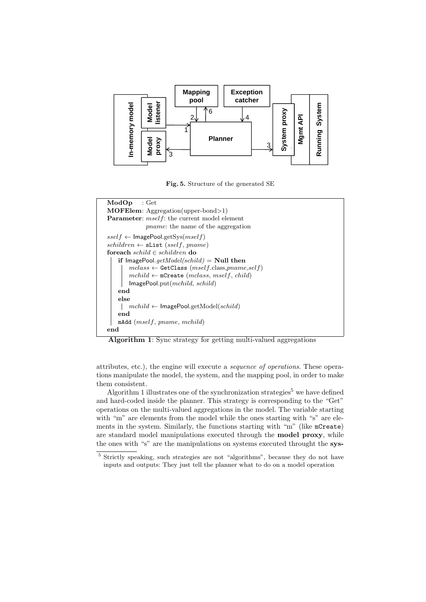

Fig. 5. Structure of the generated SE



Algorithm 1: Sync strategy for getting multi-valued aggregations

attributes, etc.), the engine will execute a sequence of operations. These operations manipulate the model, the system, and the mapping pool, in order to make them consistent.

Algorithm 1 illustrates one of the synchronization strategies<sup>5</sup> we have defined and hard-coded inside the planner. This strategy is corresponding to the "Get" operations on the multi-valued aggregations in the model. The variable starting with "m" are elements from the model while the ones starting with "s" are elements in the system. Similarly, the functions starting with "m" (like mCreate) are standard model manipulations executed through the model proxy, while the ones with "s" are the manipulations on systems executed throught the sys-

<sup>5</sup> Strictly speaking, such strategies are not "algorithms", because they do not have inputs and outputs: They just tell the planner what to do on a model operation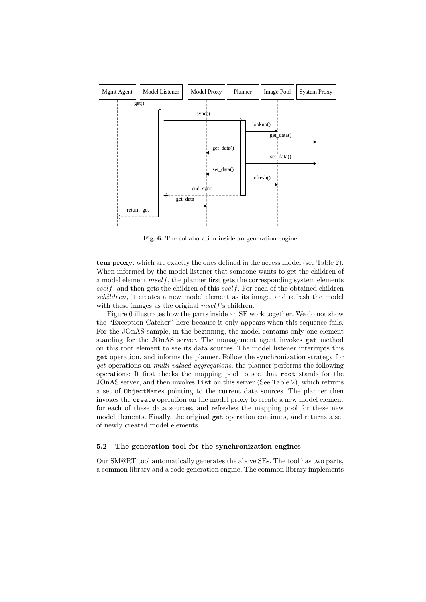

Fig. 6. The collaboration inside an generation engine

tem proxy, which are exactly the ones defined in the access model (see Table 2). When informed by the model listener that someone wants to get the children of a model element  $mself$ , the planner first gets the corresponding system elements sself, and then gets the children of this sself. For each of the obtained children schildren, it creates a new model element as its image, and refresh the model with these images as the original  $mself$ 's children.

Figure 6 illustrates how the parts inside an SE work together. We do not show the "Exception Catcher" here because it only appears when this sequence fails. For the JOnAS sample, in the beginning, the model contains only one element standing for the JOnAS server. The management agent invokes get method on this root element to see its data sources. The model listener interrupts this get operation, and informs the planner. Follow the synchronization strategy for get operations on multi-valued aggregations, the planner performs the following operations: It first checks the mapping pool to see that root stands for the JOnAS server, and then invokes list on this server (See Table 2), which returns a set of ObjectNames pointing to the current data sources. The planner then invokes the create operation on the model proxy to create a new model element for each of these data sources, and refreshes the mapping pool for these new model elements. Finally, the original get operation continues, and returns a set of newly created model elements.

#### 5.2 The generation tool for the synchronization engines

Our SM@RT tool automatically generates the above SEs. The tool has two parts, a common library and a code generation engine. The common library implements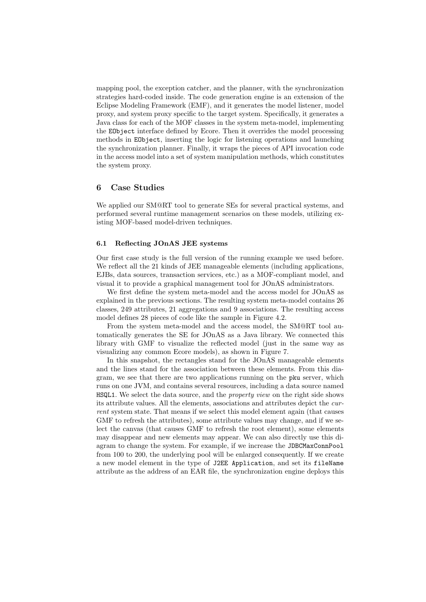mapping pool, the exception catcher, and the planner, with the synchronization strategies hard-coded inside. The code generation engine is an extension of the Eclipse Modeling Framework (EMF), and it generates the model listener, model proxy, and system proxy specific to the target system. Specifically, it generates a Java class for each of the MOF classes in the system meta-model, implementing the EObject interface defined by Ecore. Then it overrides the model processing methods in EObject, inserting the logic for listening operations and launching the synchronization planner. Finally, it wraps the pieces of API invocation code in the access model into a set of system manipulation methods, which constitutes the system proxy.

# 6 Case Studies

We applied our SM@RT tool to generate SEs for several practical systems, and performed several runtime management scenarios on these models, utilizing existing MOF-based model-driven techniques.

#### 6.1 Reflecting JOnAS JEE systems

Our first case study is the full version of the running example we used before. We reflect all the 21 kinds of JEE manageable elements (including applications, EJBs, data sources, transaction services, etc.) as a MOF-compliant model, and visual it to provide a graphical management tool for JOnAS administrators.

We first define the system meta-model and the access model for JOnAS as explained in the previous sections. The resulting system meta-model contains 26 classes, 249 attributes, 21 aggregations and 9 associations. The resulting access model defines 28 pieces of code like the sample in Figure 4.2.

From the system meta-model and the access model, the SM@RT tool automatically generates the SE for JOnAS as a Java library. We connected this library with GMF to visualize the reflected model (just in the same way as visualizing any common Ecore models), as shown in Figure 7.

In this snapshot, the rectangles stand for the JOnAS manageable elements and the lines stand for the association between these elements. From this diagram, we see that there are two applications running on the pku server, which runs on one JVM, and contains several resources, including a data source named HSQL1. We select the data source, and the property view on the right side shows its attribute values. All the elements, associations and attributes depict the current system state. That means if we select this model element again (that causes GMF to refresh the attributes), some attribute values may change, and if we select the canvas (that causes GMF to refresh the root element), some elements may disappear and new elements may appear. We can also directly use this diagram to change the system. For example, if we increase the JDBCMaxConnPool from 100 to 200, the underlying pool will be enlarged consequently. If we create a new model element in the type of J2EE Application, and set its fileName attribute as the address of an EAR file, the synchronization engine deploys this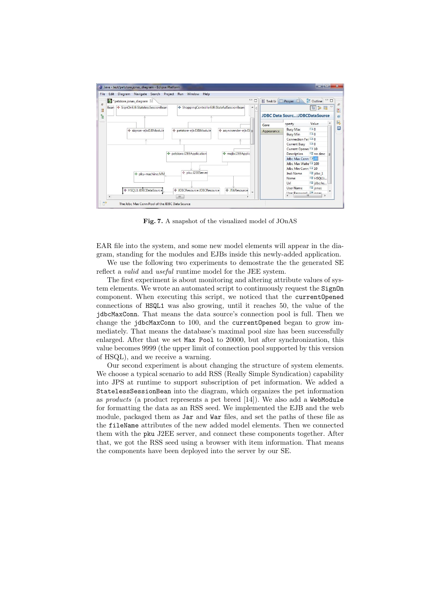

Fig. 7. A snapshot of the visualized model of JOnAS

EAR file into the system, and some new model elements will appear in the diagram, standing for the modules and EJBs inside this newly-added application.

We use the following two experiments to demostrate the the generated SE reflect a *valid* and *useful* runtime model for the JEE system.

The first experiment is about monitoring and altering attribute values of system elements. We wrote an automated script to continuously request the SignOn component. When executing this script, we noticed that the currentOpened connections of HSQL1 was also growing, until it reaches 50, the value of the jdbcMaxConn. That means the data source's connection pool is full. Then we change the jdbcMaxConn to 100, and the currentOpened began to grow immediately. That means the database's maximal pool size has been successfully enlarged. After that we set Max Pool to 20000, but after synchronization, this value becomes 9999 (the upper limit of connection pool supported by this version of HSQL), and we receive a warning.

Our second experiment is about changing the structure of system elements. We choose a typical scenario to add RSS (Really Simple Syndication) capability into JPS at runtime to support subscription of pet information. We added a StatelessSessionBean into the diagram, which organizes the pet information as *products* (a product represents a pet breed  $[14]$ ). We also add a WebModule for formatting the data as an RSS seed. We implemented the EJB and the web module, packaged them as Jar and War files, and set the paths of these file as the fileName attributes of the new added model elements. Then we connected them with the pku J2EE server, and connect these components together. After that, we got the RSS seed using a browser with item information. That means the components have been deployed into the server by our SE.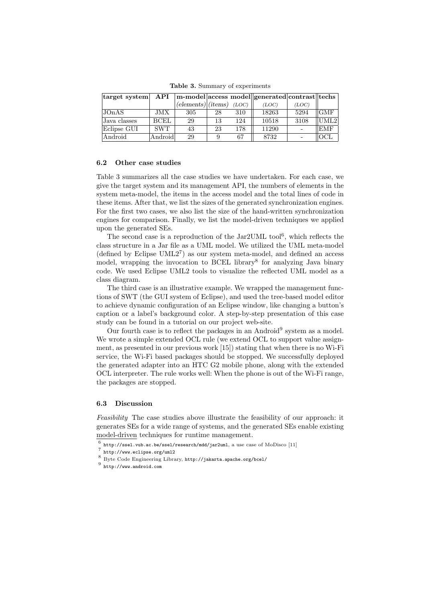| target system |               |                                |    |       | API  m-model access model generated contrast  techs |       |            |
|---------------|---------------|--------------------------------|----|-------|-----------------------------------------------------|-------|------------|
|               |               | $\ell$ elements) $\ell$ items) |    | (LOC) | (LOC)                                               | (LOC) |            |
| JOnAS         | JMX           | 305                            | 28 | 310   | 18263                                               | 5294  | <b>GMF</b> |
| Java classes  | <b>BCEL</b>   | 29                             | 13 | 124   | 10518                                               | 3108  | UML2       |
| Eclipse GUI   | <b>SWT</b>    | 43                             | 23 | 178   | 11290                                               |       | <b>EMF</b> |
| Android       | $\rm Android$ | 29                             |    | 67    | 8732                                                |       | ЭC         |

Table 3. Summary of experiments

#### 6.2 Other case studies

Table 3 summarizes all the case studies we have undertaken. For each case, we give the target system and its management API, the numbers of elements in the system meta-model, the items in the access model and the total lines of code in these items. After that, we list the sizes of the generated synchronization engines. For the first two cases, we also list the size of the hand-written synchronization engines for comparison. Finally, we list the model-driven techniques we applied upon the generated SEs.

The second case is a reproduction of the Jar2UML tool<sup>6</sup>, which reflects the class structure in a Jar file as a UML model. We utilized the UML meta-model (defined by Eclipse  $UML2^7$ ) as our system meta-model, and defined an access model, wrapping the invocation to BCEL library<sup>8</sup> for analyzing Java binary code. We used Eclipse UML2 tools to visualize the reflected UML model as a class diagram.

The third case is an illustrative example. We wrapped the management functions of SWT (the GUI system of Eclipse), and used the tree-based model editor to achieve dynamic configuration of an Eclipse window, like changing a button's caption or a label's background color. A step-by-step presentation of this case study can be found in a tutorial on our project web-site.

Our fourth case is to reflect the packages in an Android<sup>9</sup> system as a model. We wrote a simple extended OCL rule (we extend OCL to support value assignment, as presented in our previous work [15]) stating that when there is no Wi-Fi service, the Wi-Fi based packages should be stopped. We successfully deployed the generated adapter into an HTC G2 mobile phone, along with the extended OCL interpreter. The rule works well: When the phone is out of the Wi-Fi range, the packages are stopped.

## 6.3 Discussion

Feasibility The case studies above illustrate the feasibility of our approach: it generates SEs for a wide range of systems, and the generated SEs enable existing model-driven techniques for runtime management.

 $^6$  http://ssel.vub.ac.be/ssel/research/mdd/jar2uml, a use case of MoDisco  $\left[11\right]$ 

<sup>7</sup> http://www.eclipse.org/uml2

 $^8\,$  Byte Code Engineering Library, http://jakarta.apache.org/bcel/

 $^9$  http://www.android.com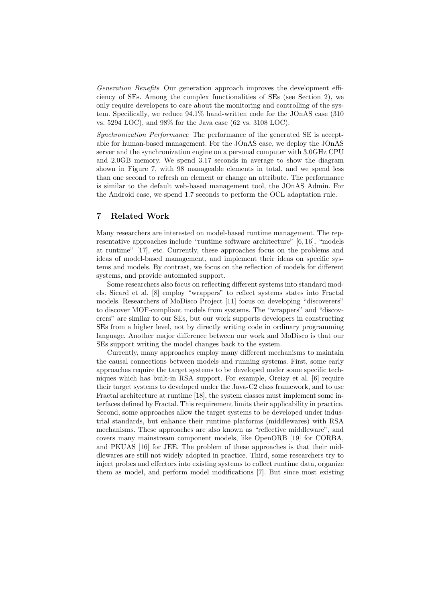Generation Benefits Our generation approach improves the development efficiency of SEs. Among the complex functionalities of SEs (see Section 2), we only require developers to care about the monitoring and controlling of the system. Specifically, we reduce 94.1% hand-written code for the JOnAS case (310 vs. 5294 LOC), and 98% for the Java case (62 vs. 3108 LOC).

Synchronization Performance The performance of the generated SE is acceptable for human-based management. For the JOnAS case, we deploy the JOnAS server and the synchronization engine on a personal computer with 3.0GHz CPU and 2.0GB memory. We spend 3.17 seconds in average to show the diagram shown in Figure 7, with 98 manageable elements in total, and we spend less than one second to refresh an element or change an attribute. The performance is similar to the default web-based management tool, the JOnAS Admin. For the Android case, we spend 1.7 seconds to perform the OCL adaptation rule.

# 7 Related Work

Many researchers are interested on model-based runtime management. The representative approaches include "runtime software architecture" [6, 16], "models at runtime" [17], etc. Currently, these approaches focus on the problems and ideas of model-based management, and implement their ideas on specific systems and models. By contrast, we focus on the reflection of models for different systems, and provide automated support.

Some researchers also focus on reflecting different systems into standard models. Sicard et al. [8] employ "wrappers" to reflect systems states into Fractal models. Researchers of MoDisco Project [11] focus on developing "discoverers" to discover MOF-compliant models from systems. The "wrappers" and "discoverers" are similar to our SEs, but our work supports developers in constructing SEs from a higher level, not by directly writing code in ordinary programming language. Another major difference between our work and MoDisco is that our SEs support writing the model changes back to the system.

Currently, many approaches employ many different mechanisms to maintain the causal connections between models and running systems. First, some early approaches require the target systems to be developed under some specific techniques which has built-in RSA support. For example, Oreizy et al. [6] require their target systems to developed under the Java-C2 class framework, and to use Fractal architecture at runtime [18], the system classes must implement some interfaces defined by Fractal. This requirement limits their applicability in practice. Second, some approaches allow the target systems to be developed under industrial standards, but enhance their runtime platforms (middlewares) with RSA mechanisms. These approaches are also known as "reflective middleware", and covers many mainstream component models, like OpenORB [19] for CORBA, and PKUAS [16] for JEE. The problem of these approaches is that their middlewares are still not widely adopted in practice. Third, some researchers try to inject probes and effectors into existing systems to collect runtime data, organize them as model, and perform model modifications [7]. But since most existing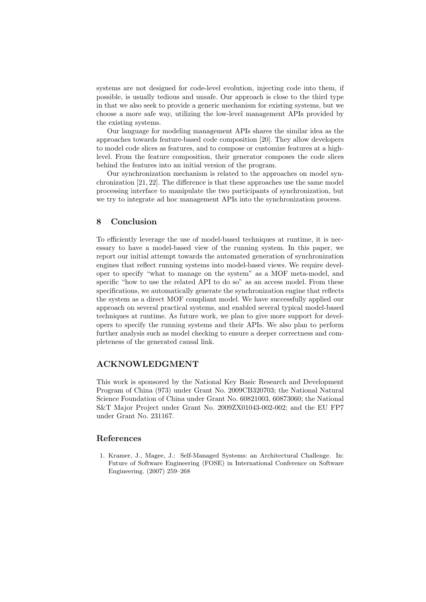systems are not designed for code-level evolution, injecting code into them, if possible, is usually tedious and unsafe. Our approach is close to the third type in that we also seek to provide a generic mechanism for existing systems, but we choose a more safe way, utilizing the low-level management APIs provided by the existing systems.

Our language for modeling management APIs shares the similar idea as the approaches towards feature-based code composition [20]. They allow developers to model code slices as features, and to compose or customize features at a highlevel. From the feature composition, their generator composes the code slices behind the features into an initial version of the program.

Our synchronization mechanism is related to the approaches on model synchronization [21, 22]. The difference is that these approaches use the same model processing interface to manipulate the two participants of synchronization, but we try to integrate ad hoc management APIs into the synchronization process.

## 8 Conclusion

To efficiently leverage the use of model-based techniques at runtime, it is necessary to have a model-based view of the running system. In this paper, we report our initial attempt towards the automated generation of synchronization engines that reflect running systems into model-based views. We require developer to specify "what to manage on the system" as a MOF meta-model, and specific "how to use the related API to do so" as an access model. From these specifications, we automatically generate the synchronization engine that reflects the system as a direct MOF compliant model. We have successfully applied our approach on several practical systems, and enabled several typical model-based techniques at runtime. As future work, we plan to give more support for developers to specify the running systems and their APIs. We also plan to perform further analysis such as model checking to ensure a deeper correctness and completeness of the generated causal link.

# ACKNOWLEDGMENT

This work is sponsored by the National Key Basic Research and Development Program of China (973) under Grant No. 2009CB320703; the National Natural Science Foundation of China under Grant No. 60821003, 60873060; the National S&T Major Project under Grant No. 2009ZX01043-002-002; and the EU FP7 under Grant No. 231167.

# References

1. Kramer, J., Magee, J.: Self-Managed Systems: an Architectural Challenge. In: Future of Software Engineering (FOSE) in International Conference on Software Engineering. (2007) 259–268